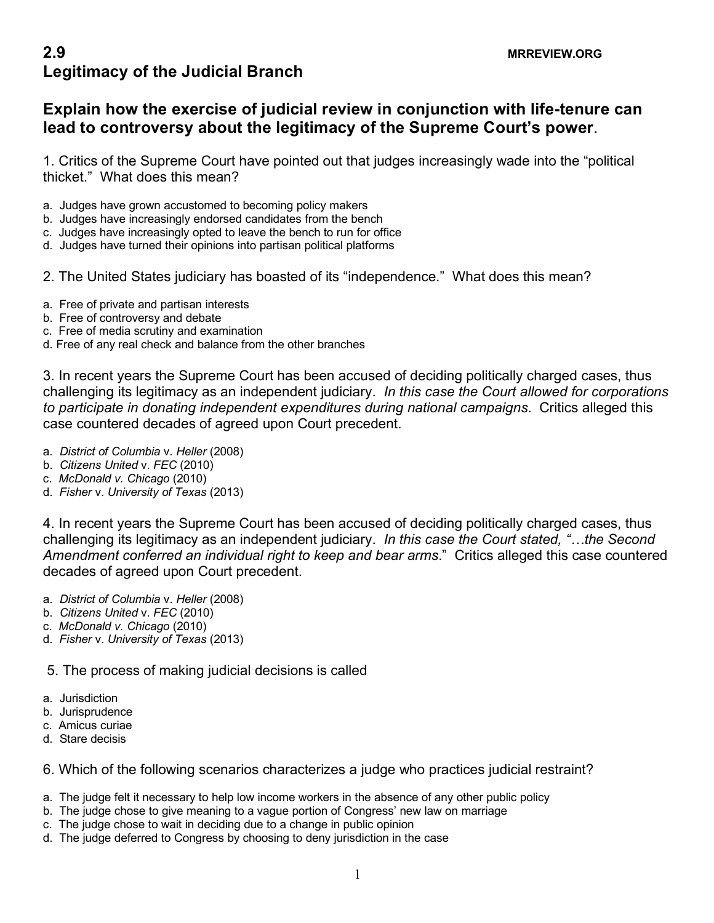## **Explain how the exercise of judicial review in conjunction with life-tenure can lead to controversy about the legitimacy of the Supreme Court's power**.

1. Critics of the Supreme Court have pointed out that judges increasingly wade into the "political thicket." What does this mean?

- a. Judges have grown accustomed to becoming policy makers
- b. Judges have increasingly endorsed candidates from the bench
- c. Judges have increasingly opted to leave the bench to run for office
- d. Judges have turned their opinions into partisan political platforms
- 2. The United States judiciary has boasted of its "independence." What does this mean?
- a. Free of private and partisan interests
- b. Free of controversy and debate
- c. Free of media scrutiny and examination
- d. Free of any real check and balance from the other branches

3. In recent years the Supreme Court has been accused of deciding politically charged cases, thus challenging its legitimacy as an independent judiciary. *In this case the Court allowed for corporations to participate in donating independent expenditures during national campaigns*. Critics alleged this case countered decades of agreed upon Court precedent.

- a. *District of Columbia* v. *Heller* (2008)
- b. *Citizens United* v. *FEC* (2010)
- c. *McDonald v. Chicago* (2010)
- d. *Fisher* v. *University of Texas* (2013)

4. In recent years the Supreme Court has been accused of deciding politically charged cases, thus challenging its legitimacy as an independent judiciary. *In this case the Court stated, "…the Second Amendment conferred an individual right to keep and bear arms*." Critics alleged this case countered decades of agreed upon Court precedent.

- a. *District of Columbia* v. *Heller* (2008)
- b. *Citizens United* v. *FEC* (2010)
- c. *McDonald v. Chicago* (2010)
- d. *Fisher* v. *University of Texas* (2013)

5. The process of making judicial decisions is called

- a. Jurisdiction
- b. Jurisprudence
- c. Amicus curiae
- d. Stare decisis
- 6. Which of the following scenarios characterizes a judge who practices judicial restraint?
- a. The judge felt it necessary to help low income workers in the absence of any other public policy
- b. The judge chose to give meaning to a vague portion of Congress' new law on marriage
- c. The judge chose to wait in deciding due to a change in public opinion
- d. The judge deferred to Congress by choosing to deny jurisdiction in the case